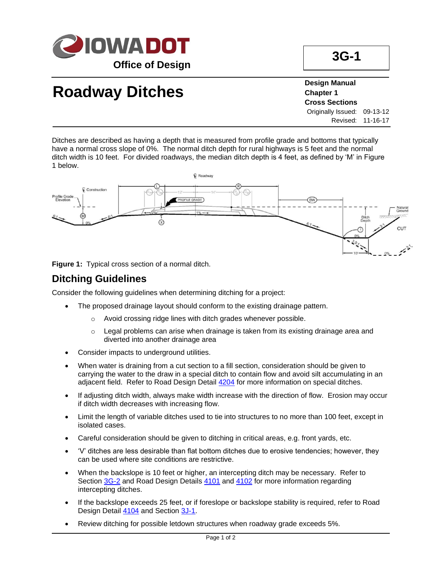

# **Roadway Ditches**

**Design Manual Chapter 1 Cross Sections** Originally Issued: 09-13-12 Revised: 11-16-17

Ditches are described as having a depth that is measured from profile grade and bottoms that typically have a normal cross slope of 0%. The normal ditch depth for rural highways is 5 feet and the normal ditch width is 10 feet. For divided roadways, the median ditch depth is 4 feet, as defined by 'M' in Figure 1 below.



**Figure 1:** Typical cross section of a normal ditch.

### **Ditching Guidelines**

Consider the following guidelines when determining ditching for a project:

- The proposed drainage layout should conform to the existing drainage pattern.
	- o Avoid crossing ridge lines with ditch grades whenever possible.
	- $\circ$  Legal problems can arise when drainage is taken from its existing drainage area and diverted into another drainage area
- Consider impacts to underground utilities.
- When water is draining from a cut section to a fill section, consideration should be given to carrying the water to the draw in a special ditch to contain flow and avoid silt accumulating in an adjacent field. Refer to Road Design Detail [4204](../tnt/PDFsandWebFiles/IndividualPDFs/4204.pdf) for more information on special ditches.
- If adjusting ditch width, always make width increase with the direction of flow. Erosion may occur if ditch width decreases with increasing flow.
- Limit the length of variable ditches used to tie into structures to no more than 100 feet, except in isolated cases.
- Careful consideration should be given to ditching in critical areas, e.g. front yards, etc.
- 'V' ditches are less desirable than flat bottom ditches due to erosive tendencies; however, they can be used where site conditions are restrictive.
- When the backslope is 10 feet or higher, an intercepting ditch may be necessary. Refer to Section [3G-2](03g-02.pdf) and Road Design Details [4101](../tnt/PDFsandWebFiles/IndividualPDFs/4201.pdf) and [4102](../tnt/PDFsandWebFiles/IndividualPDFs/4202.pdf) for more information regarding intercepting ditches.
- If the backslope exceeds 25 feet, or if foreslope or backslope stability is required, refer to Road Design Detail [4104](../tnt/PDFsandWebFiles/IndividualPDFs/4204.pdf) and Section [3J-1.](03j-01.pdf)
- Review ditching for possible letdown structures when roadway grade exceeds 5%.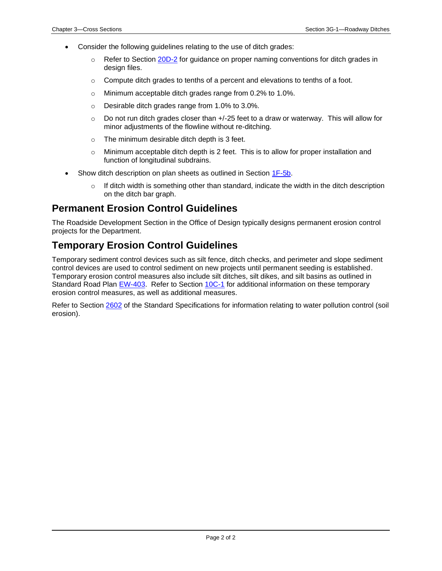- Consider the following guidelines relating to the use of ditch grades:
	- $\circ$  Refer to Section [20D-2](20d-02.pdf) for guidance on proper naming conventions for ditch grades in design files.
	- $\circ$  Compute ditch grades to tenths of a percent and elevations to tenths of a foot.
	- o Minimum acceptable ditch grades range from 0.2% to 1.0%.
	- o Desirable ditch grades range from 1.0% to 3.0%.
	- $\circ$  Do not run ditch grades closer than  $+/-25$  feet to a draw or waterway. This will allow for minor adjustments of the flowline without re-ditching.
	- o The minimum desirable ditch depth is 3 feet.
	- $\circ$  Minimum acceptable ditch depth is 2 feet. This is to allow for proper installation and function of longitudinal subdrains.
- Show ditch description on plan sheets as outlined in Section [1F-5b.](01f-05b.pdf)
	- $\circ$  If ditch width is something other than standard, indicate the width in the ditch description on the ditch bar graph.

#### **Permanent Erosion Control Guidelines**

The Roadside Development Section in the Office of Design typically designs permanent erosion control projects for the Department.

### **Temporary Erosion Control Guidelines**

Temporary sediment control devices such as silt fence, ditch checks, and perimeter and slope sediment control devices are used to control sediment on new projects until permanent seeding is established. Temporary erosion control measures also include silt ditches, silt dikes, and silt basins as outlined in Standard Road Plan [EW-403.](../SRP/IndividualStandards/ew403.pdf) Refer to Section [10C-1](10c-01.pdf) for additional information on these temporary erosion control measures, as well as additional measures.

Refer to Section [2602](../../erl/current/GS/content/2602.htm) of the Standard Specifications for information relating to water pollution control (soil erosion).